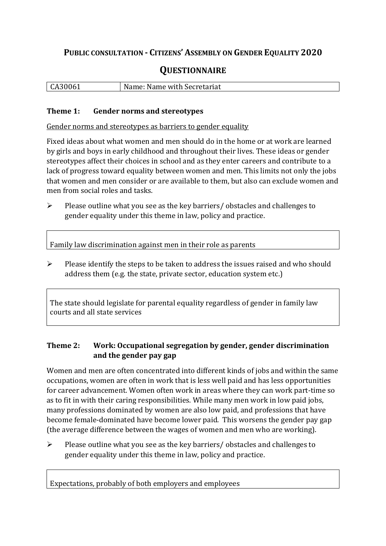## **PUBLIC CONSULTATION - CITIZENS' ASSEMBLY ON GENDER EQUALITY 2020**

# **QUESTIONNAIRE**

| CA30061 | Name: Name with Secretariat |
|---------|-----------------------------|
|         |                             |

#### **Theme 1: Gender norms and stereotypes**

Gender norms and stereotypes as barriers to gender equality

Fixed ideas about what women and men should do in the home or at work are learned by girls and boys in early childhood and throughout their lives. These ideas or gender stereotypes affect their choices in school and as they enter careers and contribute to a lack of progress toward equality between women and men. This limits not only the jobs that women and men consider or are available to them, but also can exclude women and men from social roles and tasks.

➢ Please outline what you see as the key barriers/ obstacles and challenges to gender equality under this theme in law, policy and practice.

Family law discrimination against men in their role as parents

 $\triangleright$  Please identify the steps to be taken to address the issues raised and who should address them (e.g. the state, private sector, education system etc.)

The state should legislate for parental equality regardless of gender in family law courts and all state services

### **Theme 2: Work: Occupational segregation by gender, gender discrimination and the gender pay gap**

Women and men are often concentrated into different kinds of jobs and within the same occupations, women are often in work that is less well paid and has less opportunities for career advancement. Women often work in areas where they can work part-time so as to fit in with their caring responsibilities. While many men work in low paid jobs, many professions dominated by women are also low paid, and professions that have become female-dominated have become lower paid. This worsens the gender pay gap (the average difference between the wages of women and men who are working).

 $\triangleright$  Please outline what you see as the key barriers/ obstacles and challenges to gender equality under this theme in law, policy and practice.

Expectations, probably of both employers and employees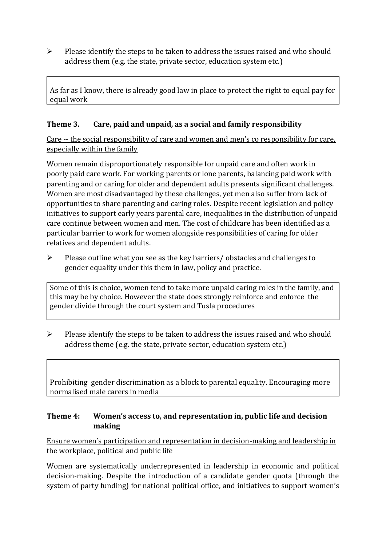➢ Please identify the steps to be taken to address the issues raised and who should address them (e.g. the state, private sector, education system etc.)

As far as I know, there is already good law in place to protect the right to equal pay for equal work

#### **Theme 3. Care, paid and unpaid, as a social and family responsibility**

Care -- the social responsibility of care and women and men's co responsibility for care, especially within the family

Women remain disproportionately responsible for unpaid care and often work in poorly paid care work. For working parents or [lone parents,](https://aran.library.nuigalway.ie/bitstream/handle/10379/6044/Millar_and_Crosse_Activation_Report.pdf?sequence=1&isAllowed=y) balancing paid work with parenting and or caring for older and dependent adults presents significant challenges. Women are [most disadvantaged by these challenges,](https://eige.europa.eu/gender-equality-index/game/IE/W) yet men also suffer from lack of opportunities to share parenting and caring roles. Despite recent legislation and policy initiatives to support early years parental care, [inequalities in the distribution of unpaid](https://www.ihrec.ie/app/uploads/2019/07/Caring-and-Unpaid-Work-in-Ireland_Final.pdf)  [care](https://www.ihrec.ie/app/uploads/2019/07/Caring-and-Unpaid-Work-in-Ireland_Final.pdf) continue between women and men. The cost of childcare has been identified as a particular barrier to work for women alongside responsibilities of caring for older relatives and dependent adults.

➢ Please outline what you see as the key barriers/ obstacles and challenges to gender equality under this them in law, policy and practice.

Some of this is choice, women tend to take more unpaid caring roles in the family, and this may be by choice. However the state does strongly reinforce and enforce the gender divide through the court system and Tusla procedures

 $\triangleright$  Please identify the steps to be taken to address the issues raised and who should address theme (e.g. the state, private sector, education system etc.)

Prohibiting gender discrimination as a block to parental equality. Encouraging more normalised male carers in media

#### **Theme 4: Women's access to, and representation in, public life and decision making**

Ensure women's participation and representation in decision-making and leadership in the workplace, political and public life

Women are systematically underrepresented in leadership in [economic](https://eige.europa.eu/gender-equality-index/2019/compare-countries/power/2/bar) and [political](https://eige.europa.eu/gender-equality-index/2019/compare-countries/power/1/bar)  [decision-](https://eige.europa.eu/gender-equality-index/2019/compare-countries/power/1/bar)making. Despite the introduction of a candidate gender quota (through the system of party funding) for national political office, and [initiatives](https://betterbalance.ie/) to support women's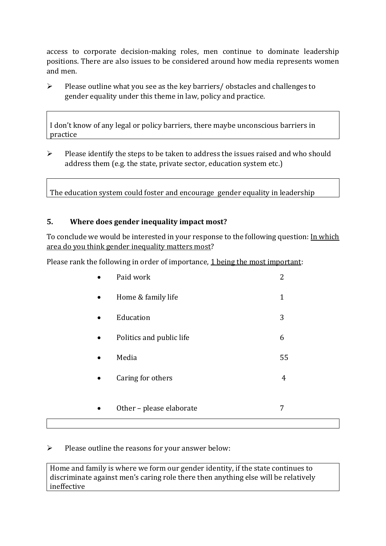access to corporate decision-making roles, men continue to dominate leadership positions. There are also issues to be considered around how media represents women and men.

➢ Please outline what you see as the key barriers/ obstacles and challenges to gender equality under this theme in law, policy and practice.

I don't know of any legal or policy barriers, there maybe unconscious barriers in practice

➢ Please identify the steps to be taken to address the issues raised and who should address them (e.g. the state, private sector, education system etc.)

The education system could foster and encourage gender equality in leadership

#### **5. Where does gender inequality impact most?**

To conclude we would be interested in your response to the following question: In which area do you think gender inequality matters most?

Please rank the following in order of importance, 1 being the most important:

| Paid work                | 2  |
|--------------------------|----|
| Home & family life       | 1  |
| Education                | 3  |
| Politics and public life | 6  |
| Media                    | 55 |
| Caring for others        | 4  |
|                          |    |
| Other - please elaborate | 7  |

#### $\triangleright$  Please outline the reasons for your answer below:

Home and family is where we form our gender identity, if the state continues to discriminate against men's caring role there then anything else will be relatively ineffective